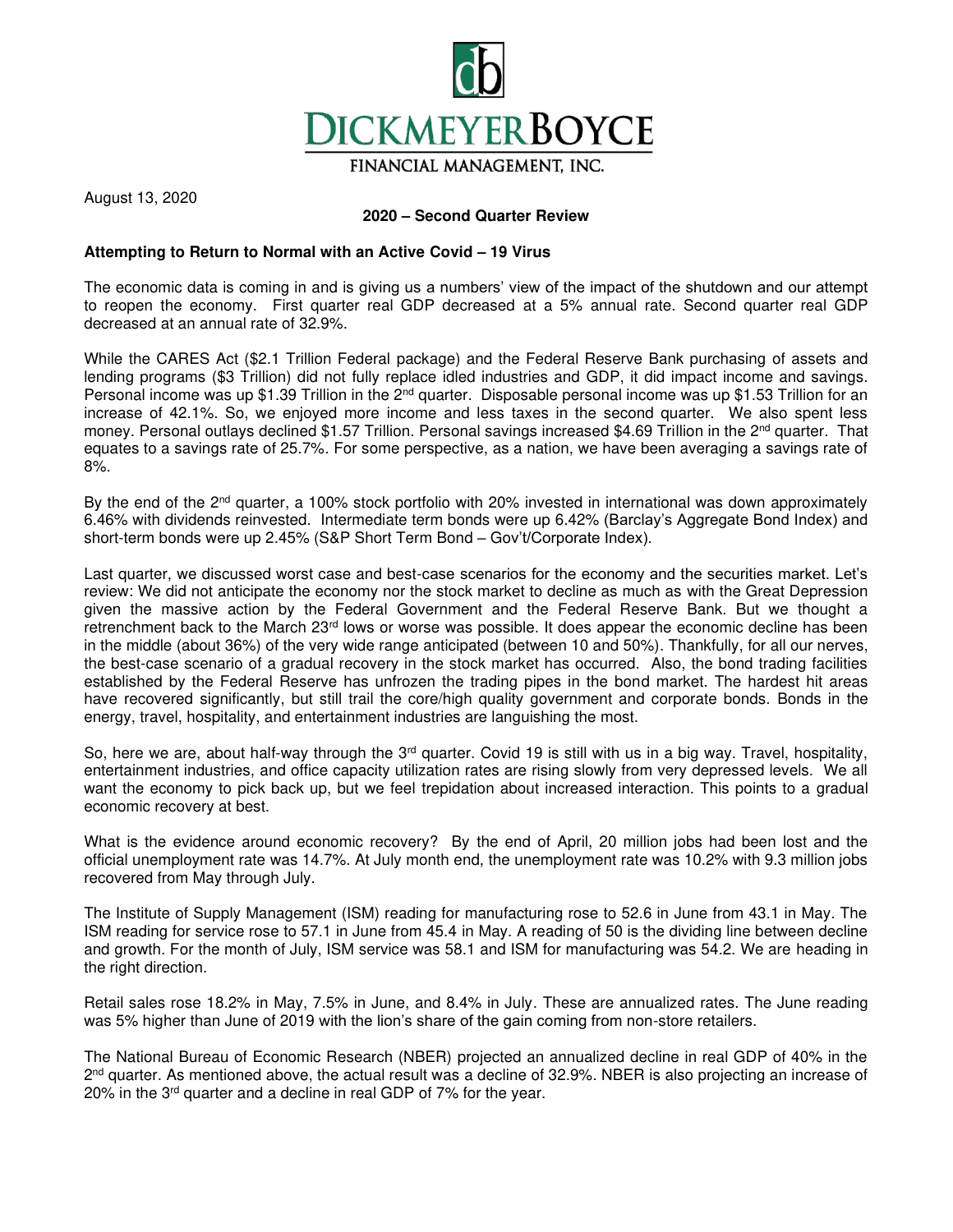

FINANCIAL MANAGEMENT. INC.

August 13, 2020

## **2020 – Second Quarter Review**

## **Attempting to Return to Normal with an Active Covid – 19 Virus**

The economic data is coming in and is giving us a numbers' view of the impact of the shutdown and our attempt to reopen the economy. First quarter real GDP decreased at a 5% annual rate. Second quarter real GDP decreased at an annual rate of 32.9%.

While the CARES Act (\$2.1 Trillion Federal package) and the Federal Reserve Bank purchasing of assets and lending programs (\$3 Trillion) did not fully replace idled industries and GDP, it did impact income and savings. Personal income was up \$1.39 Trillion in the 2<sup>nd</sup> quarter. Disposable personal income was up \$1.53 Trillion for an increase of 42.1%. So, we enjoyed more income and less taxes in the second quarter. We also spent less money. Personal outlays declined \$1.57 Trillion. Personal savings increased \$4.69 Trillion in the 2<sup>nd</sup> quarter. That equates to a savings rate of 25.7%. For some perspective, as a nation, we have been averaging a savings rate of 8%.

By the end of the 2<sup>nd</sup> quarter, a 100% stock portfolio with 20% invested in international was down approximately 6.46% with dividends reinvested. Intermediate term bonds were up 6.42% (Barclay's Aggregate Bond Index) and short-term bonds were up 2.45% (S&P Short Term Bond – Gov't/Corporate Index).

Last quarter, we discussed worst case and best-case scenarios for the economy and the securities market. Let's review: We did not anticipate the economy nor the stock market to decline as much as with the Great Depression given the massive action by the Federal Government and the Federal Reserve Bank. But we thought a retrenchment back to the March 23<sup>rd</sup> lows or worse was possible. It does appear the economic decline has been in the middle (about 36%) of the very wide range anticipated (between 10 and 50%). Thankfully, for all our nerves, the best-case scenario of a gradual recovery in the stock market has occurred. Also, the bond trading facilities established by the Federal Reserve has unfrozen the trading pipes in the bond market. The hardest hit areas have recovered significantly, but still trail the core/high quality government and corporate bonds. Bonds in the energy, travel, hospitality, and entertainment industries are languishing the most.

So, here we are, about half-way through the 3<sup>rd</sup> quarter. Covid 19 is still with us in a big way. Travel, hospitality, entertainment industries, and office capacity utilization rates are rising slowly from very depressed levels. We all want the economy to pick back up, but we feel trepidation about increased interaction. This points to a gradual economic recovery at best.

What is the evidence around economic recovery? By the end of April, 20 million jobs had been lost and the official unemployment rate was 14.7%. At July month end, the unemployment rate was 10.2% with 9.3 million jobs recovered from May through July.

The Institute of Supply Management (ISM) reading for manufacturing rose to 52.6 in June from 43.1 in May. The ISM reading for service rose to 57.1 in June from 45.4 in May. A reading of 50 is the dividing line between decline and growth. For the month of July, ISM service was 58.1 and ISM for manufacturing was 54.2. We are heading in the right direction.

Retail sales rose 18.2% in May, 7.5% in June, and 8.4% in July. These are annualized rates. The June reading was 5% higher than June of 2019 with the lion's share of the gain coming from non-store retailers.

The National Bureau of Economic Research (NBER) projected an annualized decline in real GDP of 40% in the 2<sup>nd</sup> quarter. As mentioned above, the actual result was a decline of 32.9%. NBER is also projecting an increase of 20% in the 3rd quarter and a decline in real GDP of 7% for the year.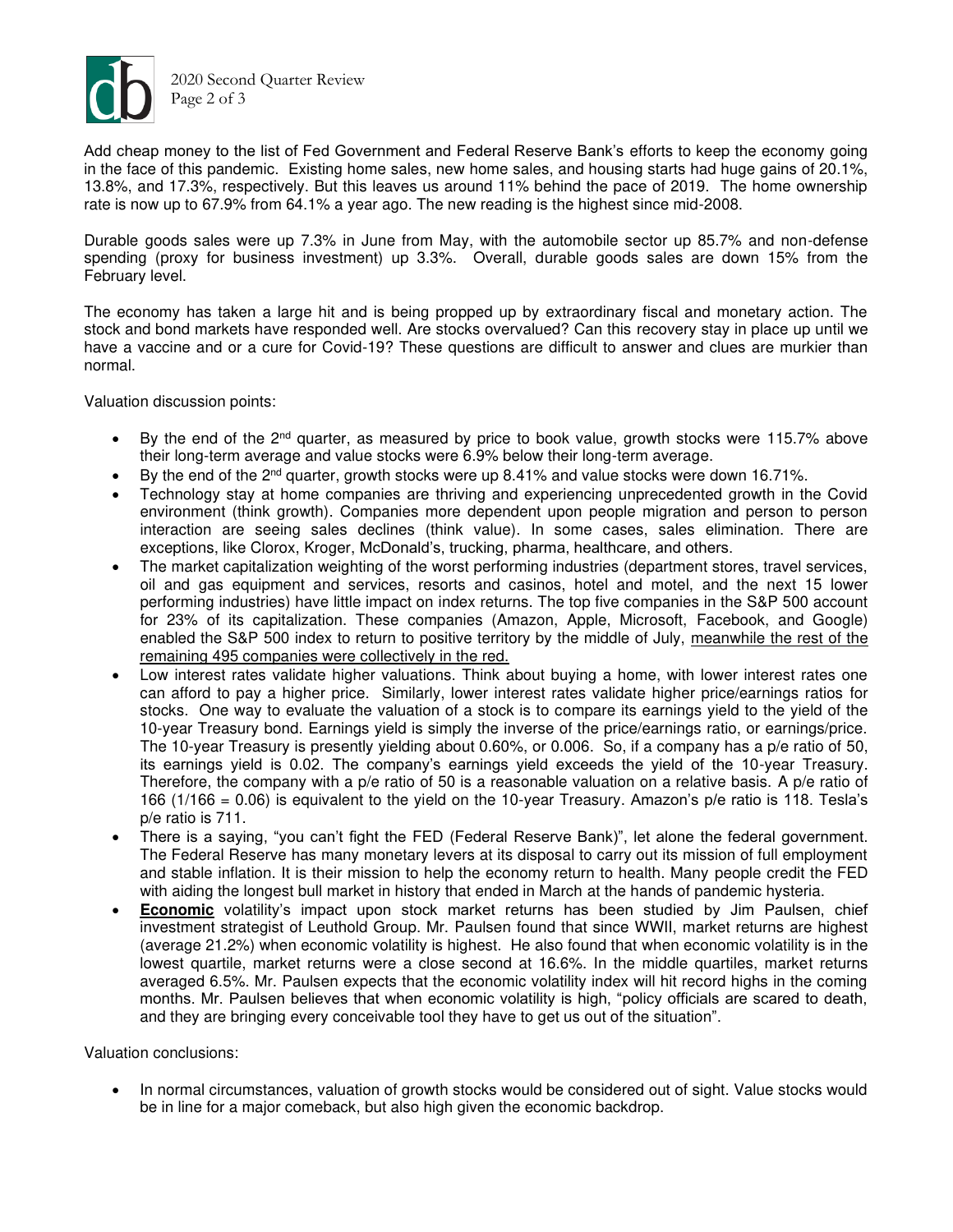

2020 Second Quarter Review Page 2 of 3

Add cheap money to the list of Fed Government and Federal Reserve Bank's efforts to keep the economy going in the face of this pandemic. Existing home sales, new home sales, and housing starts had huge gains of 20.1%, 13.8%, and 17.3%, respectively. But this leaves us around 11% behind the pace of 2019. The home ownership rate is now up to 67.9% from 64.1% a year ago. The new reading is the highest since mid-2008.

Durable goods sales were up 7.3% in June from May, with the automobile sector up 85.7% and non-defense spending (proxy for business investment) up 3.3%. Overall, durable goods sales are down 15% from the February level.

The economy has taken a large hit and is being propped up by extraordinary fiscal and monetary action. The stock and bond markets have responded well. Are stocks overvalued? Can this recovery stay in place up until we have a vaccine and or a cure for Covid-19? These questions are difficult to answer and clues are murkier than normal.

Valuation discussion points:

- By the end of the 2<sup>nd</sup> quarter, as measured by price to book value, growth stocks were 115.7% above their long-term average and value stocks were 6.9% below their long-term average.
- By the end of the  $2<sup>nd</sup>$  quarter, growth stocks were up 8.41% and value stocks were down 16.71%.
- Technology stay at home companies are thriving and experiencing unprecedented growth in the Covid environment (think growth). Companies more dependent upon people migration and person to person interaction are seeing sales declines (think value). In some cases, sales elimination. There are exceptions, like Clorox, Kroger, McDonald's, trucking, pharma, healthcare, and others.
- The market capitalization weighting of the worst performing industries (department stores, travel services, oil and gas equipment and services, resorts and casinos, hotel and motel, and the next 15 lower performing industries) have little impact on index returns. The top five companies in the S&P 500 account for 23% of its capitalization. These companies (Amazon, Apple, Microsoft, Facebook, and Google) enabled the S&P 500 index to return to positive territory by the middle of July, meanwhile the rest of the remaining 495 companies were collectively in the red.
- Low interest rates validate higher valuations. Think about buying a home, with lower interest rates one can afford to pay a higher price. Similarly, lower interest rates validate higher price/earnings ratios for stocks. One way to evaluate the valuation of a stock is to compare its earnings yield to the yield of the 10-year Treasury bond. Earnings yield is simply the inverse of the price/earnings ratio, or earnings/price. The 10-year Treasury is presently yielding about 0.60%, or 0.006. So, if a company has a p/e ratio of 50, its earnings yield is 0.02. The company's earnings yield exceeds the yield of the 10-year Treasury. Therefore, the company with a p/e ratio of 50 is a reasonable valuation on a relative basis. A p/e ratio of 166 (1/166 = 0.06) is equivalent to the yield on the 10-year Treasury. Amazon's p/e ratio is 118. Tesla's p/e ratio is 711.
- There is a saying, "you can't fight the FED (Federal Reserve Bank)", let alone the federal government. The Federal Reserve has many monetary levers at its disposal to carry out its mission of full employment and stable inflation. It is their mission to help the economy return to health. Many people credit the FED with aiding the longest bull market in history that ended in March at the hands of pandemic hysteria.
- **Economic** volatility's impact upon stock market returns has been studied by Jim Paulsen, chief investment strategist of Leuthold Group. Mr. Paulsen found that since WWII, market returns are highest (average 21.2%) when economic volatility is highest. He also found that when economic volatility is in the lowest quartile, market returns were a close second at 16.6%. In the middle quartiles, market returns averaged 6.5%. Mr. Paulsen expects that the economic volatility index will hit record highs in the coming months. Mr. Paulsen believes that when economic volatility is high, "policy officials are scared to death, and they are bringing every conceivable tool they have to get us out of the situation".

Valuation conclusions:

• In normal circumstances, valuation of growth stocks would be considered out of sight. Value stocks would be in line for a major comeback, but also high given the economic backdrop.